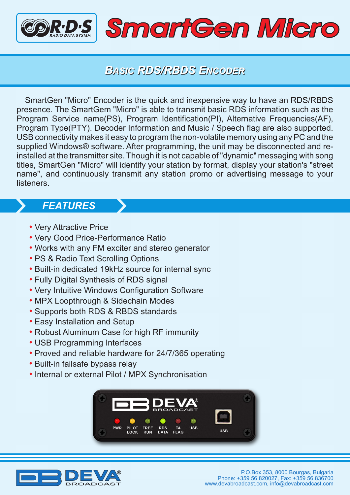

## *BASIC RDS/RBDS ENCODER*

SmartGen "Micro" Encoder is the quick and inexpensive way to have an RDS/RBDS presence. The SmartGem "Micro" is able to transmit basic RDS information such as the Program Service name(PS), Program Identification(PI), Alternative Frequencies(AF), Program Type(PTY). Decoder Information and Music / Speech flag are also supported. USB connectivity makes it easy to program the non-volatile memory using any PC and the supplied Windows® software. After programming, the unit may be disconnected and reinstalled at the transmitter site. Though it is not capable of "dynamic" messaging with song titles, SmartGen "Micro" will identify your station by format, display your station's "street name", and continuously transmit any station promo or advertising message to your listeners.

## *FEATURES*

- Very Attractive Price
- Very Good Price-Performance Ratio
- Works with any FM exciter and stereo generator
- PS & Radio Text Scrolling Options
- Built-in dedicated 19kHz source for internal sync
- Fully Digital Synthesis of RDS signal •
- Very Intuitive Windows Configuration Software
- MPX Loopthrough & Sidechain Modes
- Supports both RDS & RBDS standards
- Easy Installation and Setup
- Robust Aluminum Case for high RF immunity
- USB Programming Interfaces
- Proved and reliable hardware for 24/7/365 operating
- Built-in failsafe bypass relay
- Internal or external Pilot / MPX Synchronisation